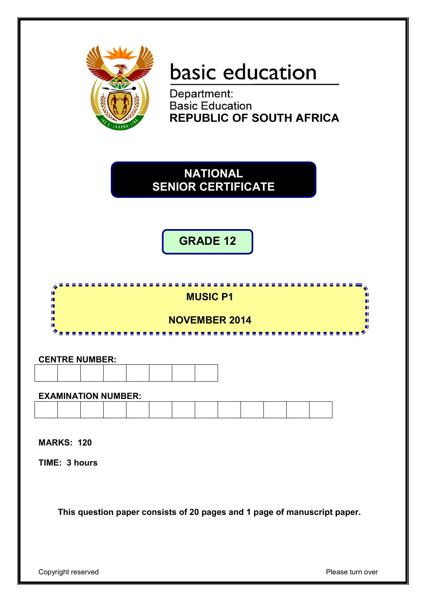

# basic education

Department:<br>Basic Education **REPUBLIC OF SOUTH AFRICA** 



**GRADE 12**



# **CENTRE NUMBER:**

#### **EXAMINATION NUMBER:**

**MARKS: 120**

**TIME: 3 hours**

**This question paper consists of 20 pages and 1 page of manuscript paper.**

Copyright reserved **Please** turn over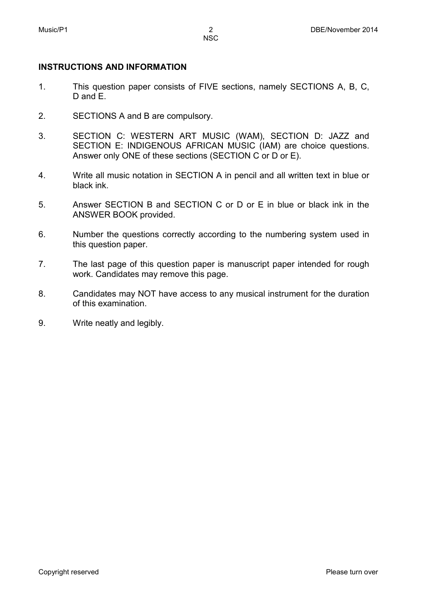# **INSTRUCTIONS AND INFORMATION**

- 1. This question paper consists of FIVE sections, namely SECTIONS A, B, C, D and E.
- 2. SECTIONS A and B are compulsory.
- 3. SECTION C: WESTERN ART MUSIC (WAM), SECTION D: JAZZ and SECTION E: INDIGENOUS AFRICAN MUSIC (IAM) are choice questions. Answer only ONE of these sections (SECTION C or D or E).
- 4. Write all music notation in SECTION A in pencil and all written text in blue or black ink.
- 5. Answer SECTION B and SECTION C or D or E in blue or black ink in the ANSWER BOOK provided.
- 6. Number the questions correctly according to the numbering system used in this question paper.
- 7. The last page of this question paper is manuscript paper intended for rough work. Candidates may remove this page.
- 8. Candidates may NOT have access to any musical instrument for the duration of this examination.
- 9. Write neatly and legibly.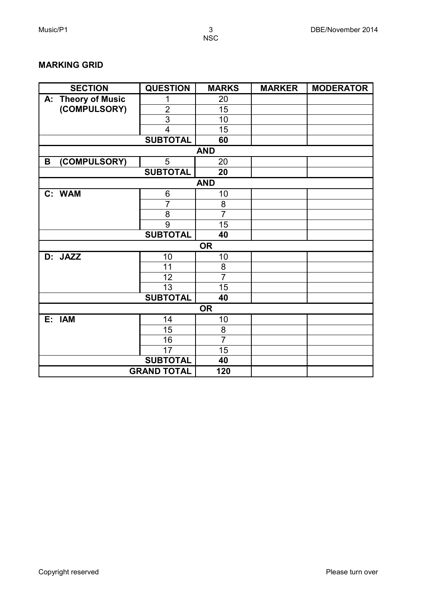### **MARKING GRID**

| <b>SECTION</b>               | <b>QUESTION</b>    | <b>MARKS</b>   | <b>MARKER</b> | <b>MODERATOR</b> |
|------------------------------|--------------------|----------------|---------------|------------------|
| <b>Theory of Music</b><br>А: | 1                  | 20             |               |                  |
| (COMPULSORY)                 | $\overline{2}$     | 15             |               |                  |
|                              | $\overline{3}$     | 10             |               |                  |
|                              | $\overline{4}$     | 15             |               |                  |
|                              | <b>SUBTOTAL</b>    | 60             |               |                  |
|                              |                    | <b>AND</b>     |               |                  |
| (COMPULSORY)<br>B            | 5                  | 20             |               |                  |
|                              | <b>SUBTOTAL</b>    | 20             |               |                  |
|                              |                    | <b>AND</b>     |               |                  |
| C: WAM                       | 6                  | 10             |               |                  |
|                              | $\overline{7}$     | 8              |               |                  |
|                              | 8                  | $\overline{7}$ |               |                  |
|                              | 9                  | 15             |               |                  |
|                              | <b>SUBTOTAL</b>    | 40             |               |                  |
|                              |                    | <b>OR</b>      |               |                  |
| D: JAZZ                      | 10                 | 10             |               |                  |
|                              | 11                 | 8              |               |                  |
|                              | 12                 | $\overline{7}$ |               |                  |
|                              | 13                 | 15             |               |                  |
|                              | <b>SUBTOTAL</b>    | 40             |               |                  |
|                              |                    | <b>OR</b>      |               |                  |
| E: IAM                       | 14                 | 10             |               |                  |
|                              | 15                 | 8              |               |                  |
|                              | 16                 | $\overline{7}$ |               |                  |
|                              | 17                 | 15             |               |                  |
|                              | <b>SUBTOTAL</b>    | 40             |               |                  |
|                              | <b>GRAND TOTAL</b> | 120            |               |                  |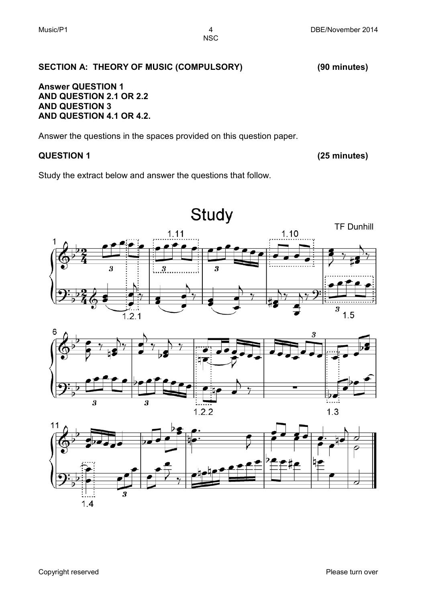# **SECTION A: THEORY OF MUSIC (COMPULSORY) (90 minutes)**

#### **Answer QUESTION 1 AND QUESTION 2.1 OR 2.2 AND QUESTION 3 AND QUESTION 4.1 OR 4.2.**

Answer the questions in the spaces provided on this question paper.

# **QUESTION 1 (25 minutes)**

Study the extract below and answer the questions that follow.



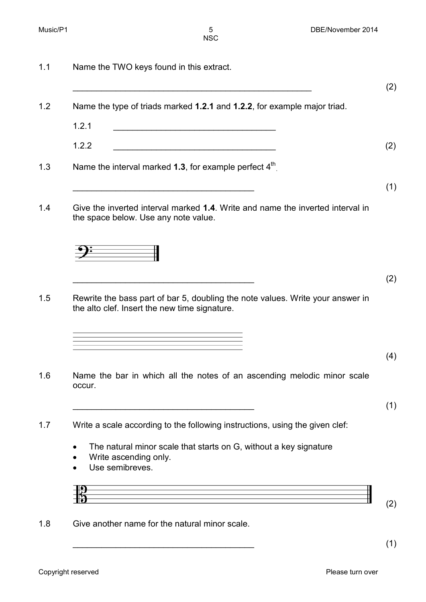|        | Name the type of triads marked 1.2.1 and 1.2.2, for example major triad.                                                                                |
|--------|---------------------------------------------------------------------------------------------------------------------------------------------------------|
| 1.2.1  | <u> 1989 - Johann Stoff, deutscher Stoffen und der Stoffen und der Stoffen und der Stoffen und der Stoffen und der</u>                                  |
| 1.2.2  | <u> 1989 - Johann Barbara, martxa alemaniar amerikan a</u>                                                                                              |
|        | Name the interval marked 1.3, for example perfect 4 <sup>th</sup>                                                                                       |
|        |                                                                                                                                                         |
|        | Give the inverted interval marked 1.4. Write and name the inverted interval in<br>the space below. Use any note value.                                  |
|        |                                                                                                                                                         |
|        |                                                                                                                                                         |
|        | Rewrite the bass part of bar 5, doubling the note values. Write your answer in<br>the alto clef. Insert the new time signature.                         |
|        | <u> 1989 - Johann Barn, amerikansk politiker (d. 1989)</u><br>the control of the control of the control of the control of the control of the control of |
|        |                                                                                                                                                         |
| occur. | Name the bar in which all the notes of an ascending melodic minor scale                                                                                 |
|        |                                                                                                                                                         |
|        | Write a scale according to the following instructions, using the given clef:                                                                            |
|        | The natural minor scale that starts on G, without a key signature<br>Write ascending only.<br>Use semibreves.                                           |
|        |                                                                                                                                                         |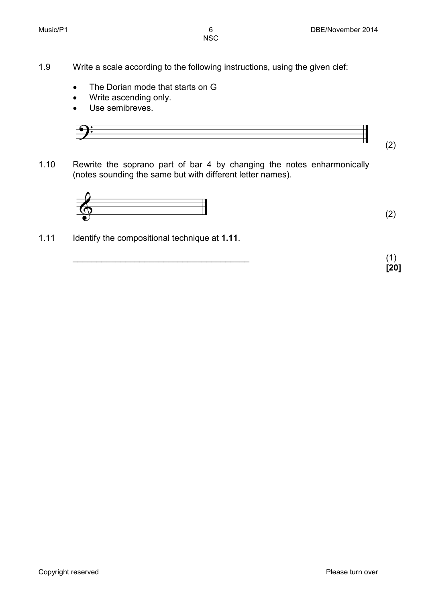- 1.9 Write a scale according to the following instructions, using the given clef:
	- The Dorian mode that starts on G
	- Write ascending only.
	- Use semibreves.



1.10 Rewrite the soprano part of bar 4 by changing the notes enharmonically (notes sounding the same but with different letter names).



1.11 Identify the compositional technique at **1.11**.

 $\overline{\phantom{a}}$  (1) **[20]**

(2)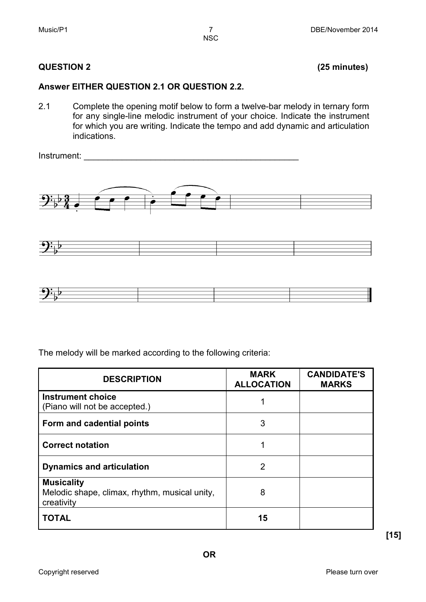# **QUESTION 2 (25 minutes)**

# **Answer EITHER QUESTION 2.1 OR QUESTION 2.2.**

2.1 Complete the opening motif below to form a twelve-bar melody in ternary form for any single-line melodic instrument of your choice. Indicate the instrument for which you are writing. Indicate the tempo and add dynamic and articulation indications.

Instrument:







The melody will be marked according to the following criteria:

| <b>DESCRIPTION</b>                                                               | <b>MARK</b><br><b>ALLOCATION</b> | <b>CANDIDATE'S</b><br><b>MARKS</b> |
|----------------------------------------------------------------------------------|----------------------------------|------------------------------------|
| <b>Instrument choice</b><br>(Piano will not be accepted.)                        |                                  |                                    |
| Form and cadential points                                                        | 3                                |                                    |
| <b>Correct notation</b>                                                          |                                  |                                    |
| <b>Dynamics and articulation</b>                                                 | 2                                |                                    |
| <b>Musicality</b><br>Melodic shape, climax, rhythm, musical unity,<br>creativity | 8                                |                                    |
| <b>TOTAL</b>                                                                     | 15                               |                                    |

**[15]**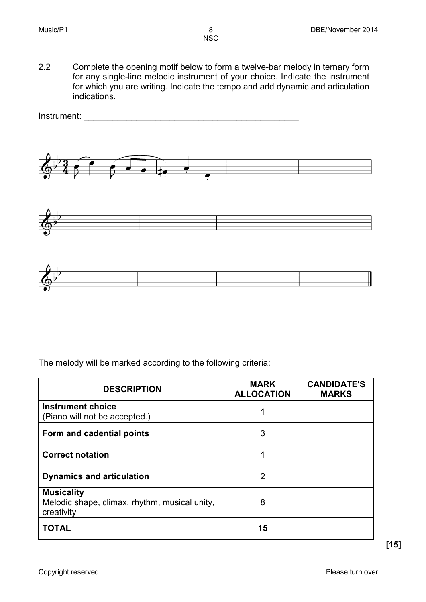2.2 Complete the opening motif below to form a twelve-bar melody in ternary form for any single-line melodic instrument of your choice. Indicate the instrument for which you are writing. Indicate the tempo and add dynamic and articulation indications.



The melody will be marked according to the following criteria:

| <b>DESCRIPTION</b>                                                               | <b>MARK</b><br><b>ALLOCATION</b> | <b>CANDIDATE'S</b><br><b>MARKS</b> |
|----------------------------------------------------------------------------------|----------------------------------|------------------------------------|
| <b>Instrument choice</b><br>(Piano will not be accepted.)                        |                                  |                                    |
| Form and cadential points                                                        | 3                                |                                    |
| <b>Correct notation</b>                                                          |                                  |                                    |
| <b>Dynamics and articulation</b>                                                 | 2                                |                                    |
| <b>Musicality</b><br>Melodic shape, climax, rhythm, musical unity,<br>creativity | 8                                |                                    |
| <b>TOTAL</b>                                                                     | 15                               |                                    |

**[15]**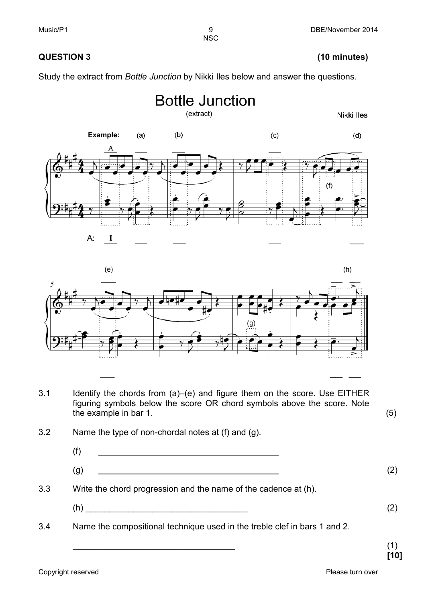# **QUESTION 3 (10 minutes)**

Study the extract from *Bottle Junction* by Nikki Iles below and answer the questions.

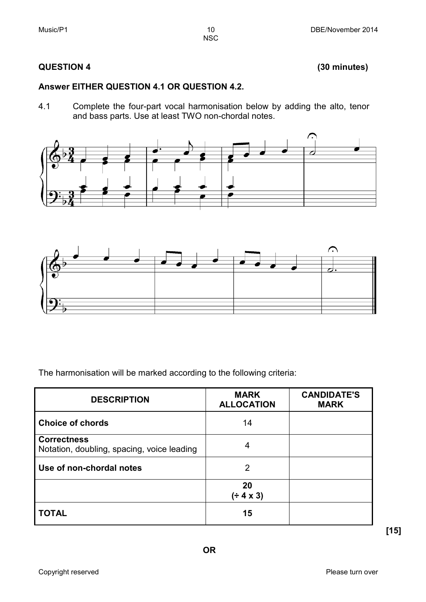# **QUESTION 4 (30 minutes)**

# **Answer EITHER QUESTION 4.1 OR QUESTION 4.2.**

4.1 Complete the four-part vocal harmonisation below by adding the alto, tenor and bass parts. Use at least TWO non-chordal notes.

NSC





The harmonisation will be marked according to the following criteria:

| <b>DESCRIPTION</b>                                               | <b>MARK</b><br><b>ALLOCATION</b> | <b>CANDIDATE'S</b><br><b>MARK</b> |
|------------------------------------------------------------------|----------------------------------|-----------------------------------|
| <b>Choice of chords</b>                                          | 14                               |                                   |
| <b>Correctness</b><br>Notation, doubling, spacing, voice leading | 4                                |                                   |
| Use of non-chordal notes                                         | 2                                |                                   |
|                                                                  | 20<br>(÷ 4 x 3)                  |                                   |
| <b>TOTAL</b>                                                     | 15                               |                                   |

**[15]**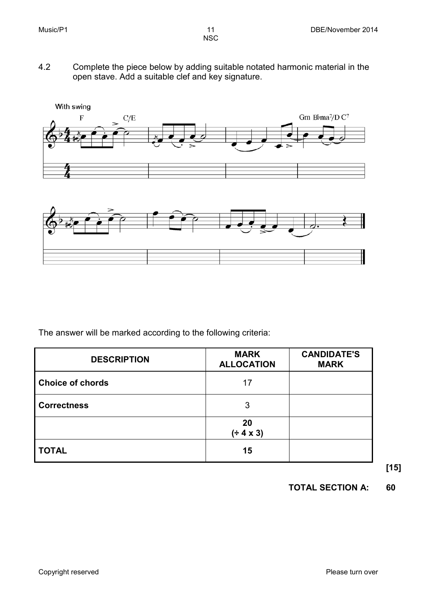- **NSC**
- 4.2 Complete the piece below by adding suitable notated harmonic material in the open stave. Add a suitable clef and key signature.





The answer will be marked according to the following criteria:

| <b>DESCRIPTION</b>      | <b>MARK</b><br><b>ALLOCATION</b> | <b>CANDIDATE'S</b><br><b>MARK</b> |
|-------------------------|----------------------------------|-----------------------------------|
| <b>Choice of chords</b> | 17                               |                                   |
| <b>Correctness</b>      | 3                                |                                   |
|                         | 20<br>(± 4 × 3)                  |                                   |
| <b>TOTAL</b>            | 15                               |                                   |

**[15]**

# **TOTAL SECTION A: 60**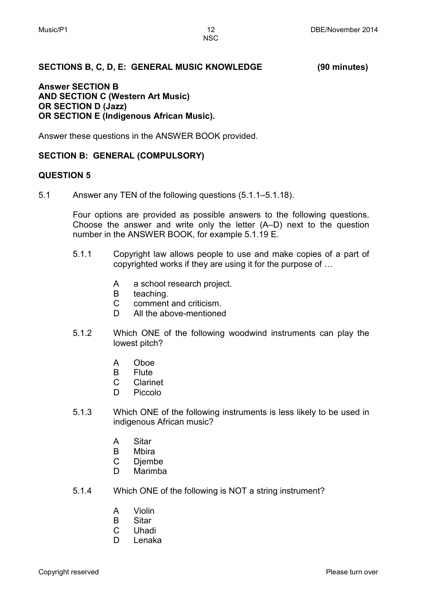### **SECTIONS B, C, D, E: GENERAL MUSIC KNOWLEDGE (90 minutes)**

#### **Answer SECTION B AND SECTION C (Western Art Music) OR SECTION D (Jazz) OR SECTION E (Indigenous African Music).**

Answer these questions in the ANSWER BOOK provided.

### **SECTION B: GENERAL (COMPULSORY)**

#### **QUESTION 5**

5.1 Answer any TEN of the following questions (5.1.1–5.1.18).

Four options are provided as possible answers to the following questions. Choose the answer and write only the letter (A–D) next to the question number in the ANSWER BOOK, for example 5.1.19 E.

- 5.1.1 Copyright law allows people to use and make copies of a part of copyrighted works if they are using it for the purpose of …
	- A a school research project.
	- B teaching.
	- $\mathcal{C}$ comment and criticism.
	- D. All the above-mentioned
- 5.1.2 Which ONE of the following woodwind instruments can play the lowest pitch?
	- A Oboe
	- B Flute
	- $\mathcal{C}$ Clarinet
	- D. Piccolo
- 5.1.3 Which ONE of the following instruments is less likely to be used in indigenous African music?
	- A **Sitar**
	- B Mbira
	- $\mathcal{C}$ Djembe
	- D Marimba
- 5.1.4 Which ONE of the following is NOT a string instrument?
	- A Violin
	- B **Sitar**
	- $\mathcal{C}$ Uhadi
	- D. Lenaka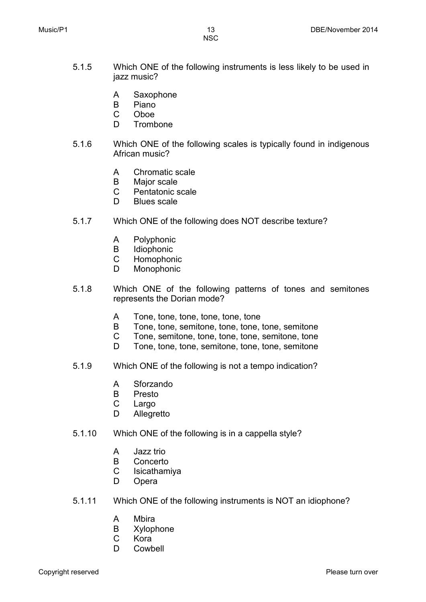- 5.1.5 Which ONE of the following instruments is less likely to be used in jazz music?
	- A Saxophone
	- B Piano
	- $\mathcal{C}$ Oboe
	- D. Trombone
- 5.1.6 Which ONE of the following scales is typically found in indigenous African music?
	- A Chromatic scale
	- B Major scale
	- $\mathsf{C}$ Pentatonic scale
	- D Blues scale
- 5.1.7 Which ONE of the following does NOT describe texture?
	- A Polyphonic
	- B Idiophonic
	- $\mathcal{C}$ Homophonic
	- D Monophonic
- 5.1.8 Which ONE of the following patterns of tones and semitones represents the Dorian mode?
	- A Tone, tone, tone, tone, tone, tone
	- B Tone, tone, semitone, tone, tone, tone, semitone
	- $\mathsf{C}$ Tone, semitone, tone, tone, tone, semitone, tone
	- D Tone, tone, tone, semitone, tone, tone, semitone
- 5.1.9 Which ONE of the following is not a tempo indication?
	- A Sforzando
	- B Presto
	- $\mathcal{C}$ Largo
	- D Allegretto
- 5.1.10 Which ONE of the following is in a cappella style?
	- A Jazz trio
	- B Concerto
	- C Isicathamiya
	- D Opera
- 5.1.11 Which ONE of the following instruments is NOT an idiophone?
	- A Mbira
	- B Xylophone
	- $\mathsf{C}$ Kora
	- D. Cowbell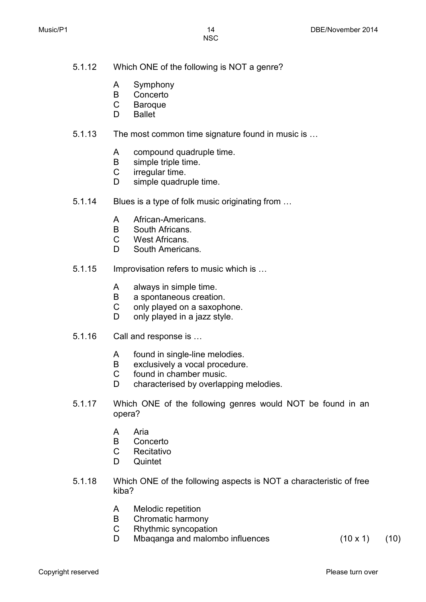- 5.1.12 Which ONE of the following is NOT a genre?
	- A Symphony
	- B Concerto
	- $\mathcal{C}$ Baroque
	- D Ballet
- 5.1.13 The most common time signature found in music is …
	- A compound quadruple time.
	- B simple triple time.
	- $\mathsf{C}$ irregular time.
	- D simple quadruple time.
- 5.1.14 Blues is a type of folk music originating from …
	- A African-Americans.
	- B South Africans.
	- $\mathcal{C}$ West Africans.
	- D. South Americans.
- 5.1.15 Improvisation refers to music which is …
	- A always in simple time.
	- B a spontaneous creation.
	- $\mathsf{C}$ only played on a saxophone.
	- D. only played in a jazz style.
- 5.1.16 Call and response is …
	- A found in single-line melodies.
	- B exclusively a vocal procedure.
	- C found in chamber music.
	- D characterised by overlapping melodies.
- 5.1.17 Which ONE of the following genres would NOT be found in an opera?
	- A Aria
	- B Concerto
	- $\mathcal{C}$ Recitativo
	- D. **Quintet**
- 5.1.18 Which ONE of the following aspects is NOT a characteristic of free kiba?
	- A Melodic repetition
	- B Chromatic harmony
	- $\mathcal{C}$ Rhythmic syncopation
	- D. Mbaganga and malombo influences  $(10 \times 1)$   $(10)$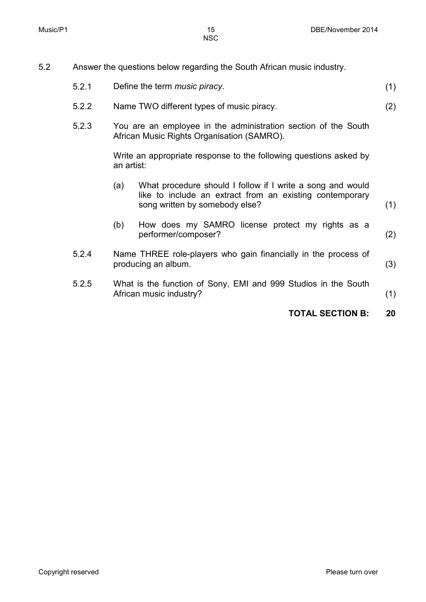(2)

- 5.2 Answer the questions below regarding the South African music industry.
	- 5.2.1 Define the term *music piracy*. (1)
	- 5.2.2 Name TWO different types of music piracy.
	- 5.2.3 You are an employee in the administration section of the South African Music Rights Organisation (SAMRO).

Write an appropriate response to the following questions asked by an artist:

(a) (b) What procedure should I follow if I write a song and would like to include an extract from an existing contemporary song written by somebody else? How does my SAMRO license protect my rights as a performer/composer? (1) (2) 5.2.4 Name THREE role-players who gain financially in the process of producing an album. (3) 5.2.5 What is the function of Sony, EMI and 999 Studios in the South African music industry? (1)

**TOTAL SECTION B: 20**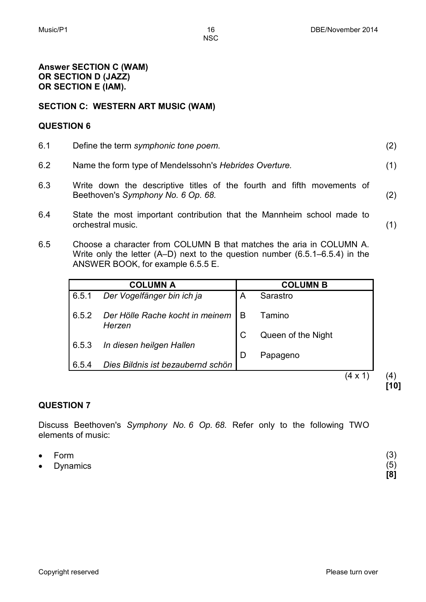(1)

 $(4)$ **[10]**

### **Answer SECTION C (WAM) OR SECTION D (JAZZ) OR SECTION E (IAM).**

# **SECTION C: WESTERN ART MUSIC (WAM)**

### **QUESTION 6**

- 6.1 6.2 Define the term *symphonic tone poem*. Name the form type of Mendelssohn's *Hebrides Overture.* (2) (1)
- 6.3 Write down the descriptive titles of the fourth and fifth movements of Beethoven's *Symphony No. 6 Op. 68.* (2)
- 6.4 State the most important contribution that the Mannheim school made to orchestral music.
- 6.5 Choose a character from COLUMN B that matches the aria in COLUMN A. Write only the letter (A–D) next to the question number (6.5.1–6.5.4) in the ANSWER BOOK, for example 6.5.5 E.

|       | <b>COLUMN A</b>                           |   | <b>COLUMN B</b>    |
|-------|-------------------------------------------|---|--------------------|
| 6.5.1 | Der Vogelfänger bin ich ja                | A | Sarastro           |
| 6.5.2 | Der Hölle Rache kocht in meinem<br>Herzen | B | Tamino             |
|       |                                           |   | Queen of the Night |
| 6.5.3 | In diesen heilgen Hallen                  | D | Papageno           |
| 6.5.4 | Dies Bildnis ist bezaubernd schön         |   |                    |
|       |                                           |   | 4 x                |

# **QUESTION 7**

Discuss Beethoven's *Symphony No. 6 Op. 68.* Refer only to the following TWO elements of music:

| $\bullet$ Form | (3) |
|----------------|-----|
| • Dynamics     | (5) |
|                | [8] |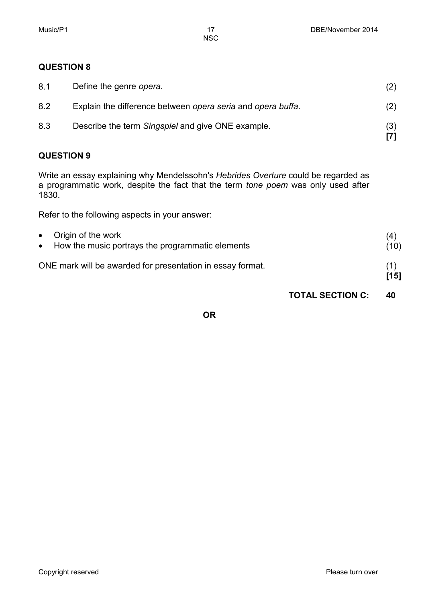# **QUESTION 8**

| 8.1 | Define the genre opera.                                     |     |
|-----|-------------------------------------------------------------|-----|
| 8.2 | Explain the difference between opera seria and opera buffa. | (2) |
| 8.3 | Describe the term Singspiel and give ONE example.           | (3) |

# **QUESTION 9**

Write an essay explaining why Mendelssohn's *Hebrides Overture* could be regarded as a programmatic work, despite the fact that the term *tone poem* was only used after 1830.

Refer to the following aspects in your answer:

| • Origin of the work<br>• How the music portrays the programmatic elements | (4)<br>(10) |
|----------------------------------------------------------------------------|-------------|
| ONE mark will be awarded for presentation in essay format.                 | (1)<br>[15] |

# **TOTAL SECTION C: 40**

# **OR**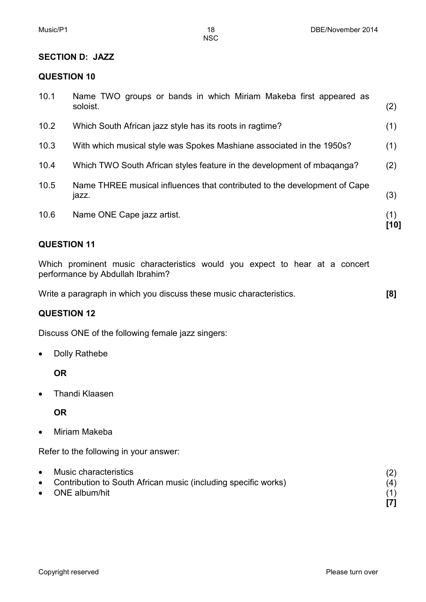#### **SECTION D: JAZZ**

#### **QUESTION 10**

| 10.1 | Name TWO groups or bands in which Miriam Makeba first appeared as<br>soloist.      | (2)         |
|------|------------------------------------------------------------------------------------|-------------|
| 10.2 | Which South African jazz style has its roots in ragtime?                           | (1)         |
| 10.3 | With which musical style was Spokes Mashiane associated in the 1950s?              | (1)         |
| 10.4 | Which TWO South African styles feature in the development of mbaganga?             | (2)         |
| 10.5 | Name THREE musical influences that contributed to the development of Cape<br>jazz. | (3)         |
| 10.6 | Name ONE Cape jazz artist.                                                         | (1)<br>[10] |

## **QUESTION 11**

Which prominent music characteristics would you expect to hear at a concert performance by Abdullah Ibrahim?

Write a paragraph in which you discuss these music characteristics. **[8]**

### **QUESTION 12**

Discuss ONE of the following female jazz singers:

• Dolly Rathebe

**OR**

• Thandi Klaasen

**OR**

• Miriam Makeba

Refer to the following in your answer:

| • Music characteristics                                          |     |
|------------------------------------------------------------------|-----|
| • Contribution to South African music (including specific works) | (4) |
| $\bullet$ ONE album/hit                                          |     |
|                                                                  |     |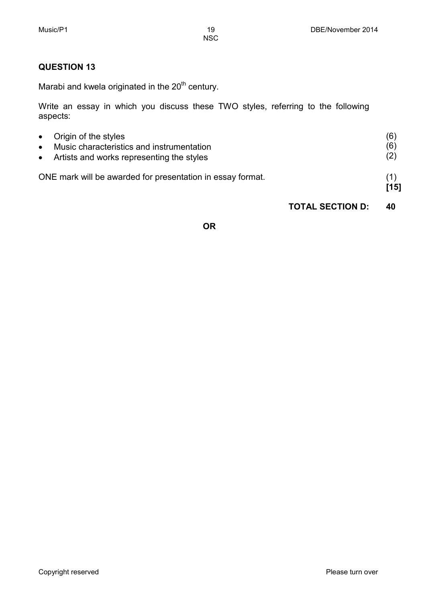# **QUESTION 13**

Marabi and kwela originated in the  $20<sup>th</sup>$  century.

Write an essay in which you discuss these TWO styles, referring to the following aspects:

| $\bullet$ | • Origin of the styles<br>Music characteristics and instrumentation<br>• Artists and works representing the styles | (6)<br>(6)<br>(2) |
|-----------|--------------------------------------------------------------------------------------------------------------------|-------------------|
|           | ONE mark will be awarded for presentation in essay format.                                                         | [15]              |

# **TOTAL SECTION D: 40**

# **OR**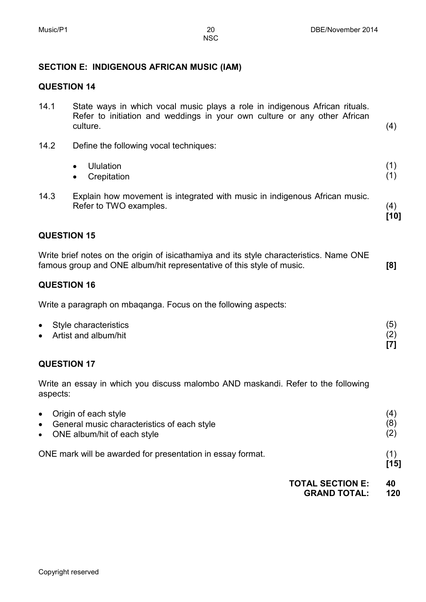# **SECTION E: INDIGENOUS AFRICAN MUSIC (IAM)**

# **QUESTION 14**

| 14.1      | State ways in which vocal music plays a role in indigenous African rituals.<br>Refer to initiation and weddings in your own culture or any other African<br>culture. | (4)               |
|-----------|----------------------------------------------------------------------------------------------------------------------------------------------------------------------|-------------------|
| 14.2      | Define the following vocal techniques:                                                                                                                               |                   |
|           | <b>Ululation</b><br>$\bullet$<br>Crepitation<br>$\bullet$                                                                                                            | (1)<br>(1)        |
| 14.3      | Explain how movement is integrated with music in indigenous African music.<br>Refer to TWO examples.                                                                 | (4)<br>$[10]$     |
|           | <b>QUESTION 15</b>                                                                                                                                                   |                   |
|           | Write brief notes on the origin of isicathamiya and its style characteristics. Name ONE<br>famous group and ONE album/hit representative of this style of music.     | [8]               |
|           | <b>QUESTION 16</b>                                                                                                                                                   |                   |
|           | Write a paragraph on mbaganga. Focus on the following aspects:                                                                                                       |                   |
|           | Style characteristics<br>Artist and album/hit                                                                                                                        | (5)<br>(2)<br>[7] |
|           | <b>QUESTION 17</b>                                                                                                                                                   |                   |
|           | Write an essay in which you discuss malombo AND maskandi. Refer to the following<br>aspects:                                                                         |                   |
| $\bullet$ | Origin of each style<br>General music characteristics of each style<br>ONE album/hit of each style                                                                   | (4)<br>(8)<br>(2) |
|           | ONE mark will be awarded for presentation in essay format.                                                                                                           | (1)<br>$[15]$     |
|           | <b>TOTAL SECTION E:</b><br><b>GRAND TOTAL:</b>                                                                                                                       | 40<br>120         |
|           |                                                                                                                                                                      |                   |